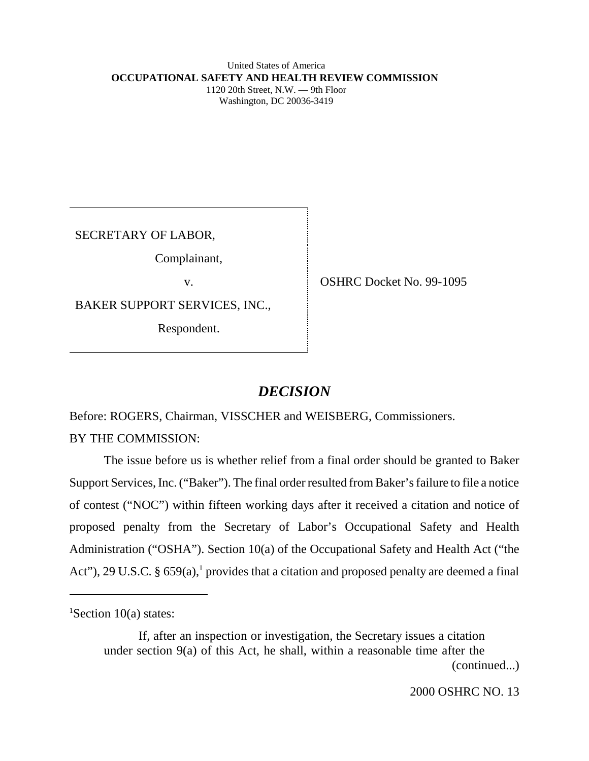#### United States of America **OCCUPATIONAL SAFETY AND HEALTH REVIEW COMMISSION** 1120 20th Street, N.W. — 9th Floor Washington, DC 20036-3419

SECRETARY OF LABOR,

Complainant,

BAKER SUPPORT SERVICES, INC.,

Respondent.

v. SHRC Docket No. 99-1095

# *DECISION*

Before: ROGERS, Chairman, VISSCHER and WEISBERG, Commissioners.

BY THE COMMISSION:

The issue before us is whether relief from a final order should be granted to Baker Support Services, Inc. ("Baker"). The final order resulted from Baker's failure to file a notice of contest ("NOC") within fifteen working days after it received a citation and notice of proposed penalty from the Secretary of Labor's Occupational Safety and Health Administration ("OSHA"). Section 10(a) of the Occupational Safety and Health Act ("the Act"), 29 U.S.C. § 659(a),<sup>1</sup> provides that a citation and proposed penalty are deemed a final

If, after an inspection or investigation, the Secretary issues a citation under section 9(a) of this Act, he shall, within a reasonable time after the (continued...)

<sup>&</sup>lt;sup>1</sup>Section 10(a) states: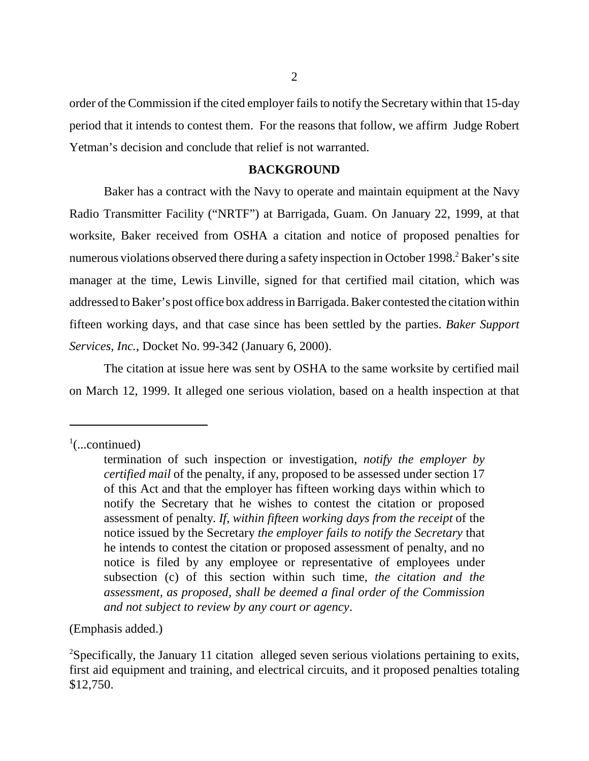order of the Commission if the cited employer fails to notify the Secretary within that 15-day period that it intends to contest them. For the reasons that follow, we affirm Judge Robert Yetman's decision and conclude that relief is not warranted.

# **BACKGROUND**

Baker has a contract with the Navy to operate and maintain equipment at the Navy Radio Transmitter Facility ("NRTF") at Barrigada, Guam. On January 22, 1999, at that worksite, Baker received from OSHA a citation and notice of proposed penalties for numerous violations observed there during a safety inspection in October 1998.<sup>2</sup> Baker's site manager at the time, Lewis Linville, signed for that certified mail citation, which was addressed to Baker's post office box address in Barrigada. Baker contested the citation within fifteen working days, and that case since has been settled by the parties. *Baker Support Services, Inc.*, Docket No. 99-342 (January 6, 2000).

The citation at issue here was sent by OSHA to the same worksite by certified mail on March 12, 1999. It alleged one serious violation, based on a health inspection at that

(Emphasis added.)

 $\frac{1}{2}$ (...continued)

termination of such inspection or investigation, *notify the employer by certified mail* of the penalty, if any, proposed to be assessed under section 17 of this Act and that the employer has fifteen working days within which to notify the Secretary that he wishes to contest the citation or proposed assessment of penalty. *If, within fifteen working days from the receipt* of the notice issued by the Secretary *the employer fails to notify the Secretary* that he intends to contest the citation or proposed assessment of penalty, and no notice is filed by any employee or representative of employees under subsection (c) of this section within such time, *the citation and the assessment, as proposed, shall be deemed a final order of the Commission and not subject to review by any court or agency*.

<sup>&</sup>lt;sup>2</sup>Specifically, the January 11 citation alleged seven serious violations pertaining to exits, first aid equipment and training, and electrical circuits, and it proposed penalties totaling \$12,750.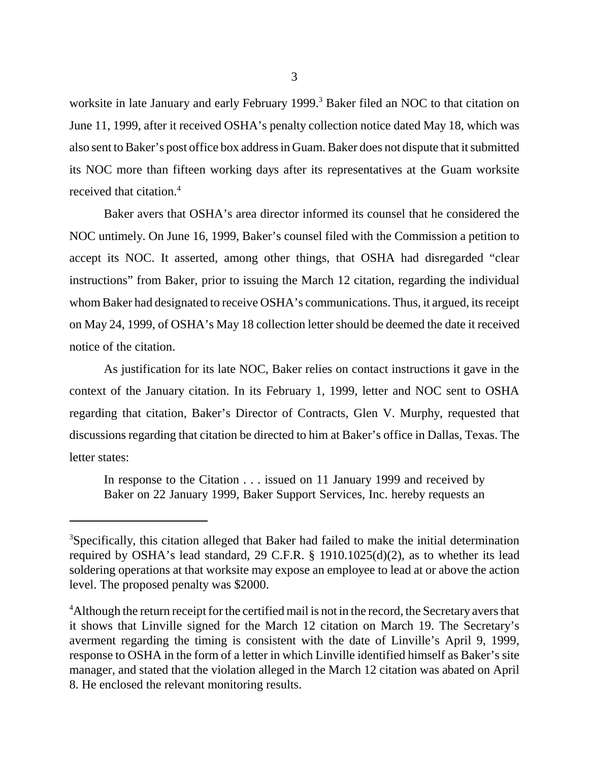worksite in late January and early February 1999.<sup>3</sup> Baker filed an NOC to that citation on June 11, 1999, after it received OSHA's penalty collection notice dated May 18, which was also sent to Baker's post office box address in Guam. Baker does not dispute that it submitted its NOC more than fifteen working days after its representatives at the Guam worksite received that citation.4

Baker avers that OSHA's area director informed its counsel that he considered the NOC untimely. On June 16, 1999, Baker's counsel filed with the Commission a petition to accept its NOC. It asserted, among other things, that OSHA had disregarded "clear instructions" from Baker, prior to issuing the March 12 citation, regarding the individual whom Baker had designated to receive OSHA's communications. Thus, it argued, its receipt on May 24, 1999, of OSHA's May 18 collection letter should be deemed the date it received notice of the citation.

As justification for its late NOC, Baker relies on contact instructions it gave in the context of the January citation. In its February 1, 1999, letter and NOC sent to OSHA regarding that citation, Baker's Director of Contracts, Glen V. Murphy, requested that discussions regarding that citation be directed to him at Baker's office in Dallas, Texas. The letter states:

In response to the Citation . . . issued on 11 January 1999 and received by Baker on 22 January 1999, Baker Support Services, Inc. hereby requests an

<sup>&</sup>lt;sup>3</sup>Specifically, this citation alleged that Baker had failed to make the initial determination required by OSHA's lead standard, 29 C.F.R. § 1910.1025(d)(2), as to whether its lead soldering operations at that worksite may expose an employee to lead at or above the action level. The proposed penalty was \$2000.

<sup>&</sup>lt;sup>4</sup>Although the return receipt for the certified mail is not in the record, the Secretary avers that it shows that Linville signed for the March 12 citation on March 19. The Secretary's averment regarding the timing is consistent with the date of Linville's April 9, 1999, response to OSHA in the form of a letter in which Linville identified himself as Baker's site manager, and stated that the violation alleged in the March 12 citation was abated on April 8. He enclosed the relevant monitoring results.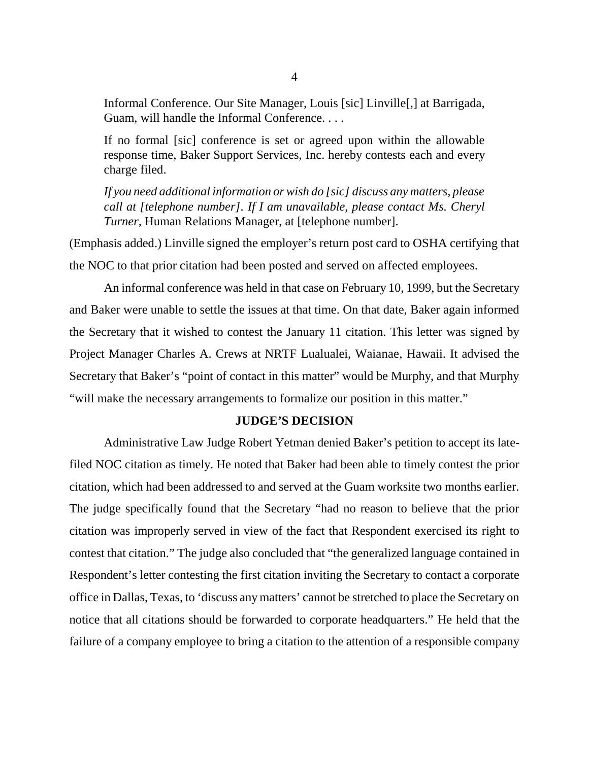Informal Conference. Our Site Manager, Louis [sic] Linville[,] at Barrigada, Guam, will handle the Informal Conference. . . .

If no formal [sic] conference is set or agreed upon within the allowable response time, Baker Support Services, Inc. hereby contests each and every charge filed.

*If you need additional information or wish do [sic] discuss any matters, please call at [telephone number]. If I am unavailable, please contact Ms. Cheryl Turner,* Human Relations Manager, at [telephone number].

(Emphasis added.) Linville signed the employer's return post card to OSHA certifying that the NOC to that prior citation had been posted and served on affected employees.

An informal conference was held in that case on February 10, 1999, but the Secretary and Baker were unable to settle the issues at that time. On that date, Baker again informed the Secretary that it wished to contest the January 11 citation. This letter was signed by Project Manager Charles A. Crews at NRTF Lualualei, Waianae, Hawaii. It advised the Secretary that Baker's "point of contact in this matter" would be Murphy, and that Murphy "will make the necessary arrangements to formalize our position in this matter."

### **JUDGE'S DECISION**

Administrative Law Judge Robert Yetman denied Baker's petition to accept its latefiled NOC citation as timely. He noted that Baker had been able to timely contest the prior citation, which had been addressed to and served at the Guam worksite two months earlier. The judge specifically found that the Secretary "had no reason to believe that the prior citation was improperly served in view of the fact that Respondent exercised its right to contest that citation." The judge also concluded that "the generalized language contained in Respondent's letter contesting the first citation inviting the Secretary to contact a corporate office in Dallas, Texas, to 'discuss any matters' cannot be stretched to place the Secretary on notice that all citations should be forwarded to corporate headquarters." He held that the failure of a company employee to bring a citation to the attention of a responsible company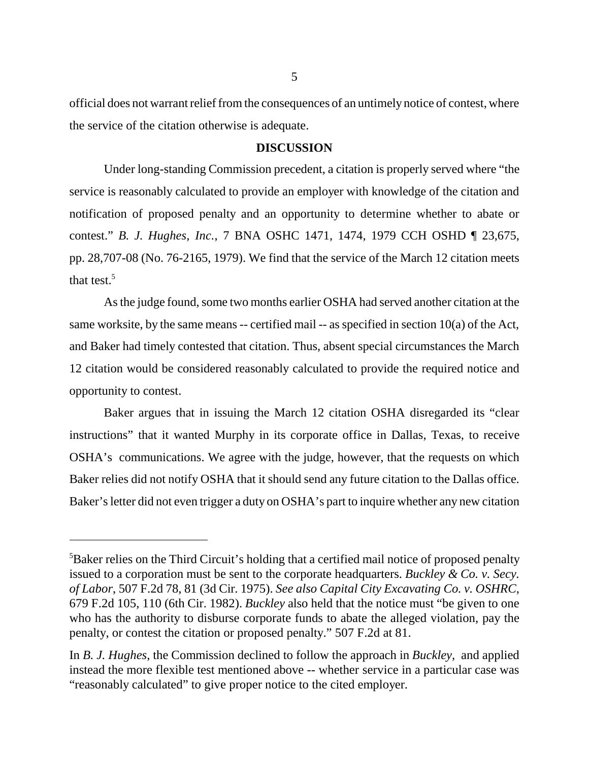official does not warrant relief from the consequences of an untimely notice of contest, where the service of the citation otherwise is adequate.

# **DISCUSSION**

Under long-standing Commission precedent, a citation is properly served where "the service is reasonably calculated to provide an employer with knowledge of the citation and notification of proposed penalty and an opportunity to determine whether to abate or contest." *B. J. Hughes, Inc.*, 7 BNA OSHC 1471, 1474, 1979 CCH OSHD ¶ 23,675, pp. 28,707-08 (No. 76-2165, 1979). We find that the service of the March 12 citation meets that test.<sup>5</sup>

As the judge found, some two months earlier OSHA had served another citation at the same worksite, by the same means  $-$  certified mail  $-$  as specified in section 10(a) of the Act, and Baker had timely contested that citation. Thus, absent special circumstances the March 12 citation would be considered reasonably calculated to provide the required notice and opportunity to contest.

Baker argues that in issuing the March 12 citation OSHA disregarded its "clear instructions" that it wanted Murphy in its corporate office in Dallas, Texas, to receive OSHA's communications. We agree with the judge, however, that the requests on which Baker relies did not notify OSHA that it should send any future citation to the Dallas office. Baker's letter did not even trigger a duty on OSHA's part to inquire whether any new citation

<sup>&</sup>lt;sup>5</sup>Baker relies on the Third Circuit's holding that a certified mail notice of proposed penalty issued to a corporation must be sent to the corporate headquarters. *Buckley & Co. v. Secy. of Labor*, 507 F.2d 78, 81 (3d Cir. 1975). *See also Capital City Excavating Co. v. OSHRC*, 679 F.2d 105, 110 (6th Cir. 1982). *Buckley* also held that the notice must "be given to one who has the authority to disburse corporate funds to abate the alleged violation, pay the penalty, or contest the citation or proposed penalty." 507 F.2d at 81.

In *B. J. Hughes*, the Commission declined to follow the approach in *Buckley*, and applied instead the more flexible test mentioned above -- whether service in a particular case was "reasonably calculated" to give proper notice to the cited employer.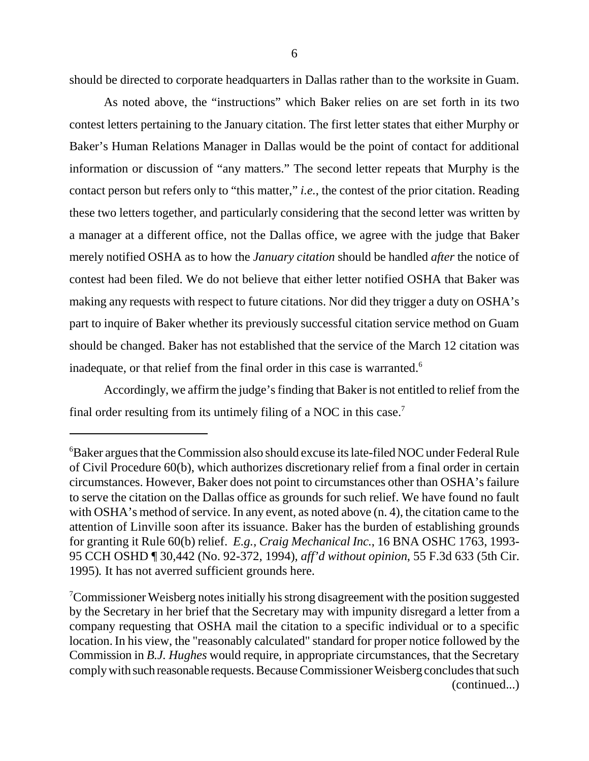should be directed to corporate headquarters in Dallas rather than to the worksite in Guam.

As noted above, the "instructions" which Baker relies on are set forth in its two contest letters pertaining to the January citation. The first letter states that either Murphy or Baker's Human Relations Manager in Dallas would be the point of contact for additional information or discussion of "any matters." The second letter repeats that Murphy is the contact person but refers only to "this matter," *i.e.*, the contest of the prior citation. Reading these two letters together, and particularly considering that the second letter was written by a manager at a different office, not the Dallas office, we agree with the judge that Baker merely notified OSHA as to how the *January citation* should be handled *after* the notice of contest had been filed. We do not believe that either letter notified OSHA that Baker was making any requests with respect to future citations. Nor did they trigger a duty on OSHA's part to inquire of Baker whether its previously successful citation service method on Guam should be changed. Baker has not established that the service of the March 12 citation was inadequate, or that relief from the final order in this case is warranted.<sup>6</sup>

Accordingly, we affirm the judge's finding that Baker is not entitled to relief from the final order resulting from its untimely filing of a NOC in this case.<sup>7</sup>

<sup>6</sup> Baker argues that the Commission also should excuse its late-filed NOC under Federal Rule of Civil Procedure 60(b), which authorizes discretionary relief from a final order in certain circumstances. However, Baker does not point to circumstances other than OSHA's failure to serve the citation on the Dallas office as grounds for such relief. We have found no fault with OSHA's method of service. In any event, as noted above (n. 4), the citation came to the attention of Linville soon after its issuance. Baker has the burden of establishing grounds for granting it Rule 60(b) relief. *E.g., Craig Mechanical Inc.*, 16 BNA OSHC 1763, 1993- 95 CCH OSHD ¶ 30,442 (No. 92-372, 1994), *aff'd without opinion*, 55 F.3d 633 (5th Cir. 1995)*.* It has not averred sufficient grounds here.

<sup>&</sup>lt;sup>7</sup>Commissioner Weisberg notes initially his strong disagreement with the position suggested by the Secretary in her brief that the Secretary may with impunity disregard a letter from a company requesting that OSHA mail the citation to a specific individual or to a specific location. In his view, the "reasonably calculated" standard for proper notice followed by the Commission in *B.J. Hughes* would require, in appropriate circumstances, that the Secretary comply with such reasonable requests. Because Commissioner Weisberg concludes that such (continued...)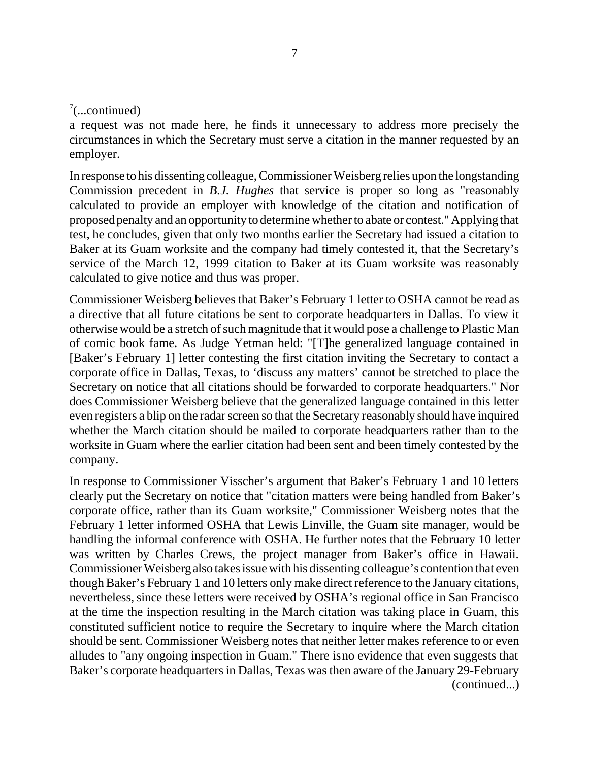In response to his dissenting colleague, Commissioner Weisberg relies upon the longstanding Commission precedent in *B.J. Hughes* that service is proper so long as "reasonably calculated to provide an employer with knowledge of the citation and notification of proposed penalty and an opportunity to determine whether to abate or contest." Applying that test, he concludes, given that only two months earlier the Secretary had issued a citation to Baker at its Guam worksite and the company had timely contested it, that the Secretary's service of the March 12, 1999 citation to Baker at its Guam worksite was reasonably calculated to give notice and thus was proper.

Commissioner Weisberg believes that Baker's February 1 letter to OSHA cannot be read as a directive that all future citations be sent to corporate headquarters in Dallas. To view it otherwise would be a stretch of such magnitude that it would pose a challenge to Plastic Man of comic book fame. As Judge Yetman held: "[T]he generalized language contained in [Baker's February 1] letter contesting the first citation inviting the Secretary to contact a corporate office in Dallas, Texas, to 'discuss any matters' cannot be stretched to place the Secretary on notice that all citations should be forwarded to corporate headquarters." Nor does Commissioner Weisberg believe that the generalized language contained in this letter even registers a blip on the radar screen so that the Secretary reasonably should have inquired whether the March citation should be mailed to corporate headquarters rather than to the worksite in Guam where the earlier citation had been sent and been timely contested by the company.

In response to Commissioner Visscher's argument that Baker's February 1 and 10 letters clearly put the Secretary on notice that "citation matters were being handled from Baker's corporate office, rather than its Guam worksite," Commissioner Weisberg notes that the February 1 letter informed OSHA that Lewis Linville, the Guam site manager, would be handling the informal conference with OSHA. He further notes that the February 10 letter was written by Charles Crews, the project manager from Baker's office in Hawaii. Commissioner Weisberg also takes issue with his dissenting colleague's contention that even though Baker's February 1 and 10 letters only make direct reference to the January citations, nevertheless, since these letters were received by OSHA's regional office in San Francisco at the time the inspection resulting in the March citation was taking place in Guam, this constituted sufficient notice to require the Secretary to inquire where the March citation should be sent. Commissioner Weisberg notes that neither letter makes reference to or even alludes to "any ongoing inspection in Guam." There is no evidence that even suggests that Baker's corporate headquarters in Dallas, Texas was then aware of the January 29-February (continued...)

 $7$ (...continued)

a request was not made here, he finds it unnecessary to address more precisely the circumstances in which the Secretary must serve a citation in the manner requested by an employer.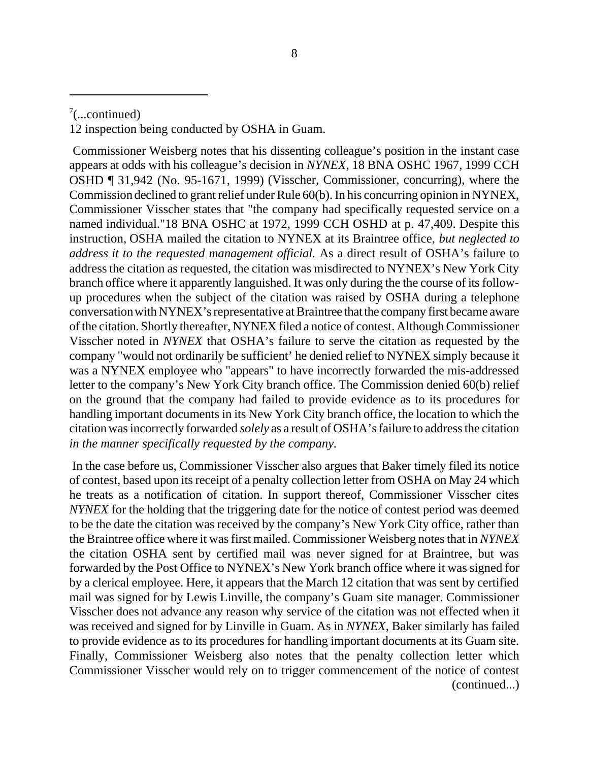12 inspection being conducted by OSHA in Guam.

 Commissioner Weisberg notes that his dissenting colleague's position in the instant case appears at odds with his colleague's decision in *NYNEX*, 18 BNA OSHC 1967, 1999 CCH OSHD ¶ 31,942 (No. 95-1671, 1999) (Visscher, Commissioner, concurring), where the Commission declined to grant relief under Rule 60(b). In his concurring opinion in NYNEX, Commissioner Visscher states that "the company had specifically requested service on a named individual."18 BNA OSHC at 1972, 1999 CCH OSHD at p. 47,409. Despite this instruction, OSHA mailed the citation to NYNEX at its Braintree office, *but neglected to address it to the requested management official.* As a direct result of OSHA's failure to address the citation as requested, the citation was misdirected to NYNEX's New York City branch office where it apparently languished. It was only during the the course of its followup procedures when the subject of the citation was raised by OSHA during a telephone conversation with NYNEX's representative at Braintree that the company first became aware of the citation. Shortly thereafter, NYNEX filed a notice of contest. Although Commissioner Visscher noted in *NYNEX* that OSHA's failure to serve the citation as requested by the company "would not ordinarily be sufficient' he denied relief to NYNEX simply because it was a NYNEX employee who "appears" to have incorrectly forwarded the mis-addressed letter to the company's New York City branch office. The Commission denied 60(b) relief on the ground that the company had failed to provide evidence as to its procedures for handling important documents in its New York City branch office, the location to which the citation was incorrectly forwarded *solely* as a result of OSHA's failure to address the citation *in the manner specifically requested by the company.*

 In the case before us, Commissioner Visscher also argues that Baker timely filed its notice of contest, based upon its receipt of a penalty collection letter from OSHA on May 24 which he treats as a notification of citation. In support thereof, Commissioner Visscher cites *NYNEX* for the holding that the triggering date for the notice of contest period was deemed to be the date the citation was received by the company's New York City office, rather than the Braintree office where it was first mailed. Commissioner Weisberg notes that in *NYNEX* the citation OSHA sent by certified mail was never signed for at Braintree, but was forwarded by the Post Office to NYNEX's New York branch office where it was signed for by a clerical employee. Here, it appears that the March 12 citation that was sent by certified mail was signed for by Lewis Linville, the company's Guam site manager. Commissioner Visscher does not advance any reason why service of the citation was not effected when it was received and signed for by Linville in Guam. As in *NYNEX*, Baker similarly has failed to provide evidence as to its procedures for handling important documents at its Guam site. Finally, Commissioner Weisberg also notes that the penalty collection letter which Commissioner Visscher would rely on to trigger commencement of the notice of contest (continued...)

 $7$ (...continued)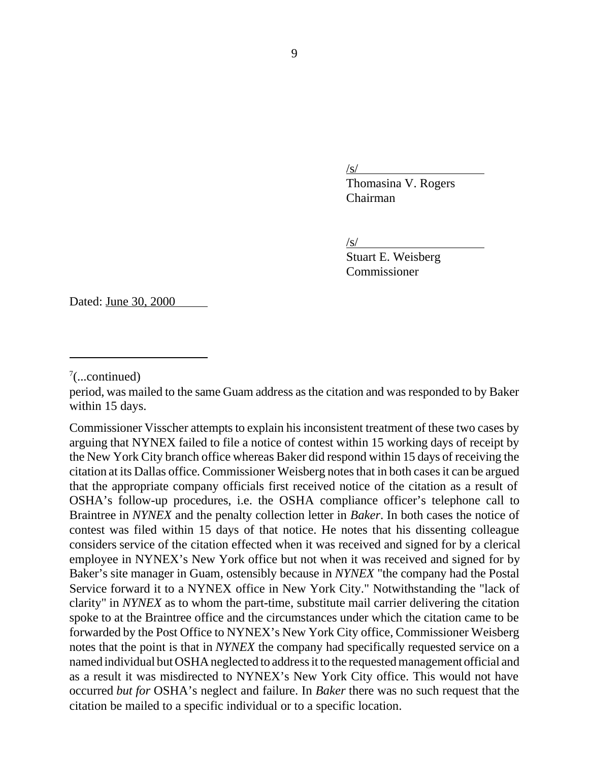/s/

Thomasina V. Rogers Chairman

 $\sqrt{s/}$ 

Stuart E. Weisberg Commissioner

Dated: June 30, 2000

period, was mailed to the same Guam address as the citation and was responded to by Baker within 15 days.

Commissioner Visscher attempts to explain his inconsistent treatment of these two cases by arguing that NYNEX failed to file a notice of contest within 15 working days of receipt by the New York City branch office whereas Baker did respond within 15 days of receiving the citation at its Dallas office. Commissioner Weisberg notes that in both cases it can be argued that the appropriate company officials first received notice of the citation as a result of OSHA's follow-up procedures, i.e. the OSHA compliance officer's telephone call to Braintree in *NYNEX* and the penalty collection letter in *Baker*. In both cases the notice of contest was filed within 15 days of that notice. He notes that his dissenting colleague considers service of the citation effected when it was received and signed for by a clerical employee in NYNEX's New York office but not when it was received and signed for by Baker's site manager in Guam, ostensibly because in *NYNEX* "the company had the Postal Service forward it to a NYNEX office in New York City." Notwithstanding the "lack of clarity" in *NYNEX* as to whom the part-time, substitute mail carrier delivering the citation spoke to at the Braintree office and the circumstances under which the citation came to be forwarded by the Post Office to NYNEX's New York City office, Commissioner Weisberg notes that the point is that in *NYNEX* the company had specifically requested service on a named individual but OSHA neglected to address it to the requested management official and as a result it was misdirected to NYNEX's New York City office. This would not have occurred *but for* OSHA's neglect and failure. In *Baker* there was no such request that the citation be mailed to a specific individual or to a specific location.

 $7$ (...continued)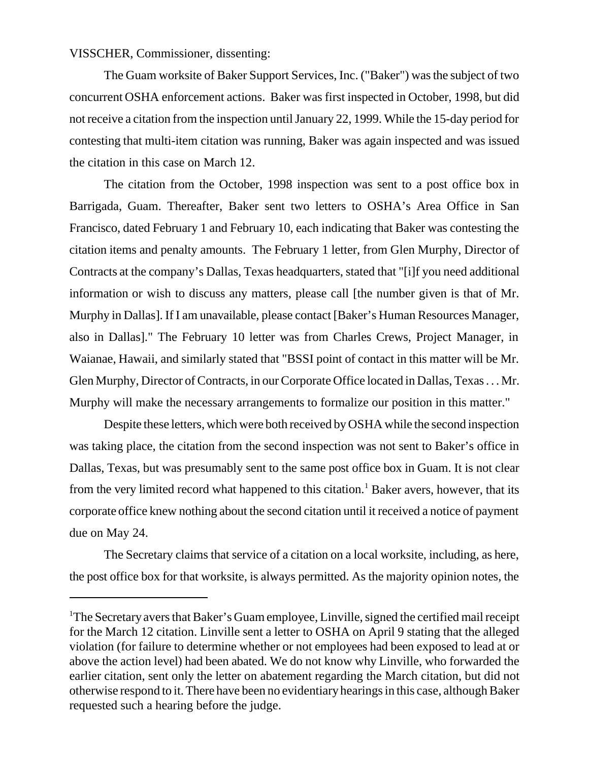# VISSCHER, Commissioner, dissenting:

The Guam worksite of Baker Support Services, Inc. ("Baker") was the subject of two concurrent OSHA enforcement actions. Baker was first inspected in October, 1998, but did not receive a citation from the inspection until January 22, 1999. While the 15-day period for contesting that multi-item citation was running, Baker was again inspected and was issued the citation in this case on March 12.

The citation from the October, 1998 inspection was sent to a post office box in Barrigada, Guam. Thereafter, Baker sent two letters to OSHA's Area Office in San Francisco, dated February 1 and February 10, each indicating that Baker was contesting the citation items and penalty amounts. The February 1 letter, from Glen Murphy, Director of Contracts at the company's Dallas, Texas headquarters, stated that "[i]f you need additional information or wish to discuss any matters, please call [the number given is that of Mr. Murphy in Dallas]. If I am unavailable, please contact [Baker's Human Resources Manager, also in Dallas]." The February 10 letter was from Charles Crews, Project Manager, in Waianae, Hawaii, and similarly stated that "BSSI point of contact in this matter will be Mr. Glen Murphy, Director of Contracts, in our Corporate Office located in Dallas, Texas . . . Mr. Murphy will make the necessary arrangements to formalize our position in this matter."

Despite these letters, which were both received by OSHA while the second inspection was taking place, the citation from the second inspection was not sent to Baker's office in Dallas, Texas, but was presumably sent to the same post office box in Guam. It is not clear from the very limited record what happened to this citation.<sup>1</sup> Baker avers, however, that its corporate office knew nothing about the second citation until it received a notice of payment due on May 24.

The Secretary claims that service of a citation on a local worksite, including, as here, the post office box for that worksite, is always permitted. As the majority opinion notes, the

<sup>&</sup>lt;sup>1</sup>The Secretary avers that Baker's Guam employee, Linville, signed the certified mail receipt for the March 12 citation. Linville sent a letter to OSHA on April 9 stating that the alleged violation (for failure to determine whether or not employees had been exposed to lead at or above the action level) had been abated. We do not know why Linville, who forwarded the earlier citation, sent only the letter on abatement regarding the March citation, but did not otherwise respond to it. There have been no evidentiary hearings in this case, although Baker requested such a hearing before the judge.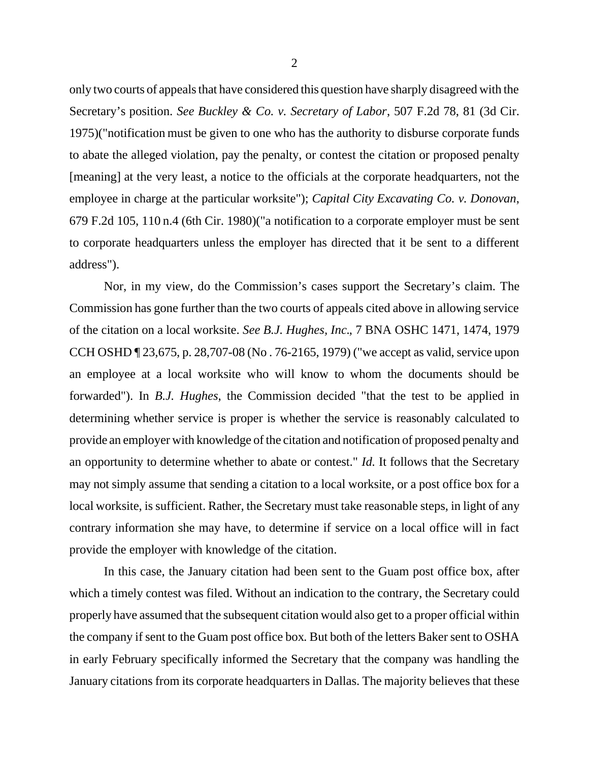only two courts of appeals that have considered this question have sharply disagreed with the Secretary's position. *See Buckley & Co. v. Secretary of Labor*, 507 F.2d 78, 81 (3d Cir. 1975)("notification must be given to one who has the authority to disburse corporate funds to abate the alleged violation, pay the penalty, or contest the citation or proposed penalty [meaning] at the very least, a notice to the officials at the corporate headquarters, not the employee in charge at the particular worksite"); *Capital City Excavating Co. v. Donovan*, 679 F.2d 105, 110 n.4 (6th Cir. 1980)("a notification to a corporate employer must be sent to corporate headquarters unless the employer has directed that it be sent to a different address").

Nor, in my view, do the Commission's cases support the Secretary's claim. The Commission has gone further than the two courts of appeals cited above in allowing service of the citation on a local worksite. *See B.J. Hughes, Inc.*, 7 BNA OSHC 1471, 1474, 1979 CCH OSHD ¶ 23,675, p. 28,707-08 (No . 76-2165, 1979) ("we accept as valid, service upon an employee at a local worksite who will know to whom the documents should be forwarded"). In *B.J. Hughes*, the Commission decided "that the test to be applied in determining whether service is proper is whether the service is reasonably calculated to provide an employer with knowledge of the citation and notification of proposed penalty and an opportunity to determine whether to abate or contest." *Id.* It follows that the Secretary may not simply assume that sending a citation to a local worksite, or a post office box for a local worksite, is sufficient. Rather, the Secretary must take reasonable steps, in light of any contrary information she may have, to determine if service on a local office will in fact provide the employer with knowledge of the citation.

In this case, the January citation had been sent to the Guam post office box, after which a timely contest was filed. Without an indication to the contrary, the Secretary could properly have assumed that the subsequent citation would also get to a proper official within the company if sent to the Guam post office box*.* But both of the letters Baker sent to OSHA in early February specifically informed the Secretary that the company was handling the January citations from its corporate headquarters in Dallas. The majority believes that these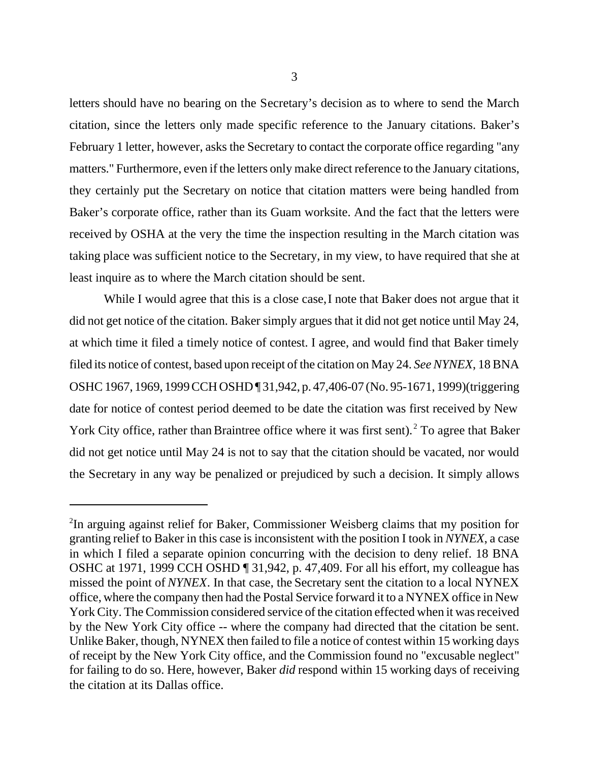letters should have no bearing on the Secretary's decision as to where to send the March citation, since the letters only made specific reference to the January citations. Baker's February 1 letter, however, asks the Secretary to contact the corporate office regarding "any matters." Furthermore, even if the letters only make direct reference to the January citations, they certainly put the Secretary on notice that citation matters were being handled from Baker's corporate office, rather than its Guam worksite. And the fact that the letters were received by OSHA at the very the time the inspection resulting in the March citation was taking place was sufficient notice to the Secretary, in my view, to have required that she at least inquire as to where the March citation should be sent.

While I would agree that this is a close case, I note that Baker does not argue that it did not get notice of the citation. Baker simply argues that it did not get notice until May 24, at which time it filed a timely notice of contest. I agree, and would find that Baker timely filed its notice of contest, based upon receipt of the citation on May 24. *See NYNEX*, 18 BNA OSHC 1967, 1969, 1999 CCH OSHD ¶ 31,942, p. 47,406-07 (No. 95-1671, 1999)(triggering date for notice of contest period deemed to be date the citation was first received by New York City office, rather than Braintree office where it was first sent).<sup>2</sup> To agree that Baker did not get notice until May 24 is not to say that the citation should be vacated, nor would the Secretary in any way be penalized or prejudiced by such a decision. It simply allows

<sup>&</sup>lt;sup>2</sup>In arguing against relief for Baker, Commissioner Weisberg claims that my position for granting relief to Baker in this case is inconsistent with the position I took in *NYNEX*, a case in which I filed a separate opinion concurring with the decision to deny relief. 18 BNA OSHC at 1971, 1999 CCH OSHD ¶ 31,942, p. 47,409. For all his effort, my colleague has missed the point of *NYNEX*. In that case, the Secretary sent the citation to a local NYNEX office, where the company then had the Postal Service forward it to a NYNEX office in New York City. The Commission considered service of the citation effected when it was received by the New York City office -- where the company had directed that the citation be sent. Unlike Baker, though, NYNEX then failed to file a notice of contest within 15 working days of receipt by the New York City office, and the Commission found no "excusable neglect" for failing to do so. Here, however, Baker *did* respond within 15 working days of receiving the citation at its Dallas office.